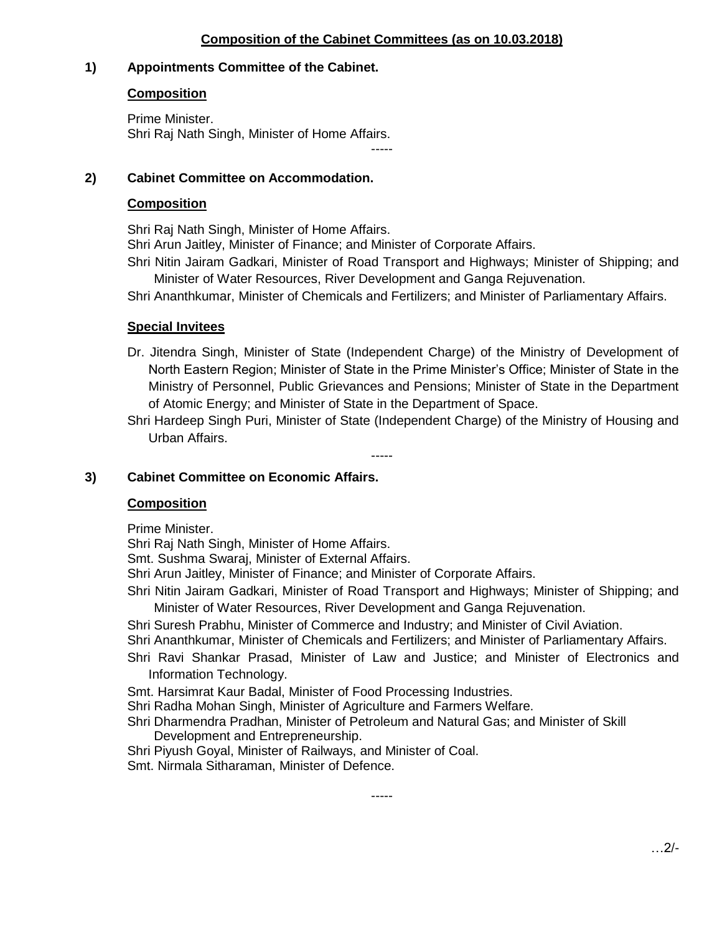# **Composition of the Cabinet Committees (as on 10.03.2018)**

-----

# **1) Appointments Committee of the Cabinet.**

## **Composition**

Prime Minister. Shri Raj Nath Singh, Minister of Home Affairs.

# **2) Cabinet Committee on Accommodation.**

#### **Composition**

Shri Raj Nath Singh, Minister of Home Affairs.

Shri Arun Jaitley, Minister of Finance; and Minister of Corporate Affairs.

Shri Nitin Jairam Gadkari, Minister of Road Transport and Highways; Minister of Shipping; and Minister of Water Resources, River Development and Ganga Rejuvenation.

Shri Ananthkumar, Minister of Chemicals and Fertilizers; and Minister of Parliamentary Affairs.

## **Special Invitees**

Dr. Jitendra Singh, Minister of State (Independent Charge) of the Ministry of Development of North Eastern Region; Minister of State in the Prime Minister's Office; Minister of State in the Ministry of Personnel, Public Grievances and Pensions; Minister of State in the Department of Atomic Energy; and Minister of State in the Department of Space.

Shri Hardeep Singh Puri, Minister of State (Independent Charge) of the Ministry of Housing and Urban Affairs.

-----

# **3) Cabinet Committee on Economic Affairs.**

#### **Composition**

Prime Minister.

Shri Raj Nath Singh, Minister of Home Affairs.

Smt. Sushma Swaraj, Minister of External Affairs.

Shri Arun Jaitley, Minister of Finance; and Minister of Corporate Affairs.

Shri Nitin Jairam Gadkari, Minister of Road Transport and Highways; Minister of Shipping; and Minister of Water Resources, River Development and Ganga Rejuvenation.

Shri Suresh Prabhu, Minister of Commerce and Industry; and Minister of Civil Aviation.

Shri Ananthkumar, Minister of Chemicals and Fertilizers; and Minister of Parliamentary Affairs.

Shri Ravi Shankar Prasad, Minister of Law and Justice; and Minister of Electronics and Information Technology.

Smt. Harsimrat Kaur Badal, Minister of Food Processing Industries.

Shri Radha Mohan Singh, Minister of Agriculture and Farmers Welfare.

Shri Dharmendra Pradhan, Minister of Petroleum and Natural Gas; and Minister of Skill Development and Entrepreneurship.

-----

Shri Piyush Goyal, Minister of Railways, and Minister of Coal.

Smt. Nirmala Sitharaman, Minister of Defence.